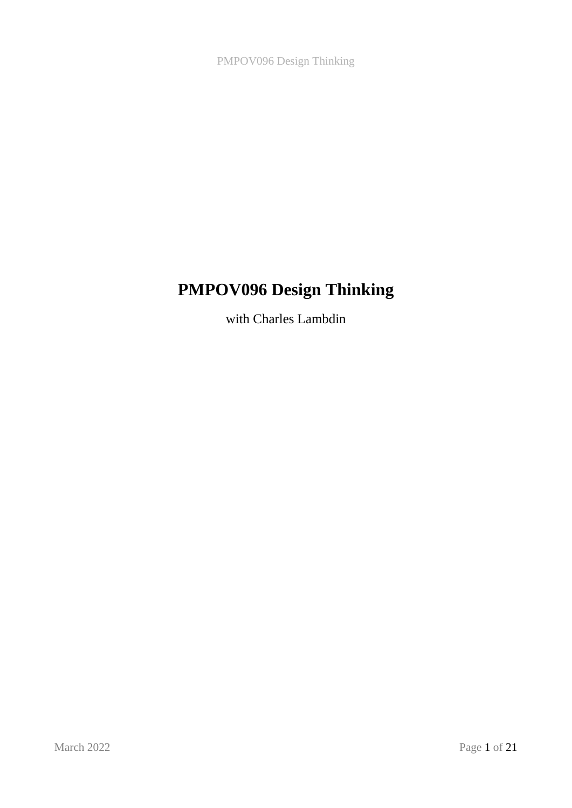# **PMPOV096 Design Thinking**

with Charles Lambdin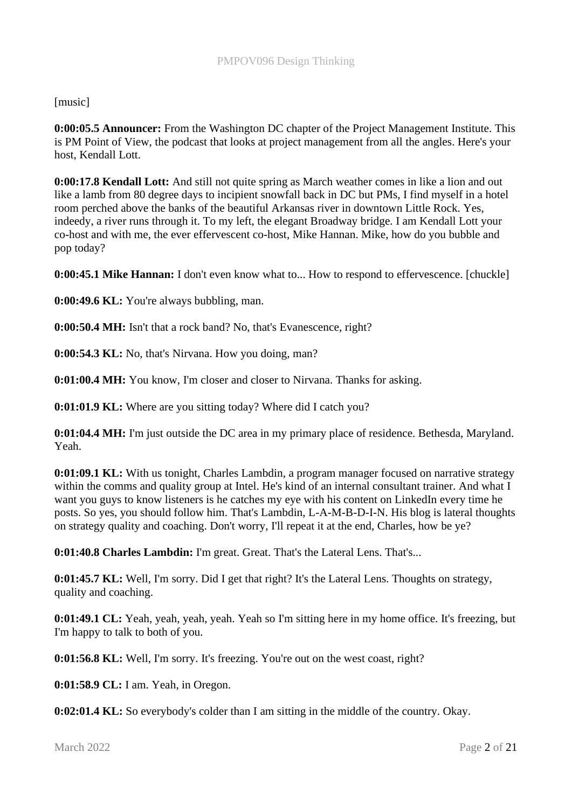[music]

**0:00:05.5 Announcer:** From the Washington DC chapter of the Project Management Institute. This is PM Point of View, the podcast that looks at project management from all the angles. Here's your host, Kendall Lott.

**0:00:17.8 Kendall Lott:** And still not quite spring as March weather comes in like a lion and out like a lamb from 80 degree days to incipient snowfall back in DC but PMs, I find myself in a hotel room perched above the banks of the beautiful Arkansas river in downtown Little Rock. Yes, indeedy, a river runs through it. To my left, the elegant Broadway bridge. I am Kendall Lott your co-host and with me, the ever effervescent co-host, Mike Hannan. Mike, how do you bubble and pop today?

**0:00:45.1 Mike Hannan:** I don't even know what to... How to respond to effervescence. [chuckle]

**0:00:49.6 KL:** You're always bubbling, man.

**0:00:50.4 MH:** Isn't that a rock band? No, that's Evanescence, right?

**0:00:54.3 KL:** No, that's Nirvana. How you doing, man?

**0:01:00.4 MH:** You know, I'm closer and closer to Nirvana. Thanks for asking.

**0:01:01.9 KL:** Where are you sitting today? Where did I catch you?

**0:01:04.4 MH:** I'm just outside the DC area in my primary place of residence. Bethesda, Maryland. Yeah.

**0:01:09.1 KL:** With us tonight, Charles Lambdin, a program manager focused on narrative strategy within the comms and quality group at Intel. He's kind of an internal consultant trainer. And what I want you guys to know listeners is he catches my eye with his content on LinkedIn every time he posts. So yes, you should follow him. That's Lambdin, L-A-M-B-D-I-N. His blog is lateral thoughts on strategy quality and coaching. Don't worry, I'll repeat it at the end, Charles, how be ye?

**0:01:40.8 Charles Lambdin:** I'm great. Great. That's the Lateral Lens. That's...

**0:01:45.7 KL:** Well, I'm sorry. Did I get that right? It's the Lateral Lens. Thoughts on strategy, quality and coaching.

**0:01:49.1 CL:** Yeah, yeah, yeah, yeah. Yeah so I'm sitting here in my home office. It's freezing, but I'm happy to talk to both of you.

**0:01:56.8 KL:** Well, I'm sorry. It's freezing. You're out on the west coast, right?

**0:01:58.9 CL:** I am. Yeah, in Oregon.

**0:02:01.4 KL:** So everybody's colder than I am sitting in the middle of the country. Okay.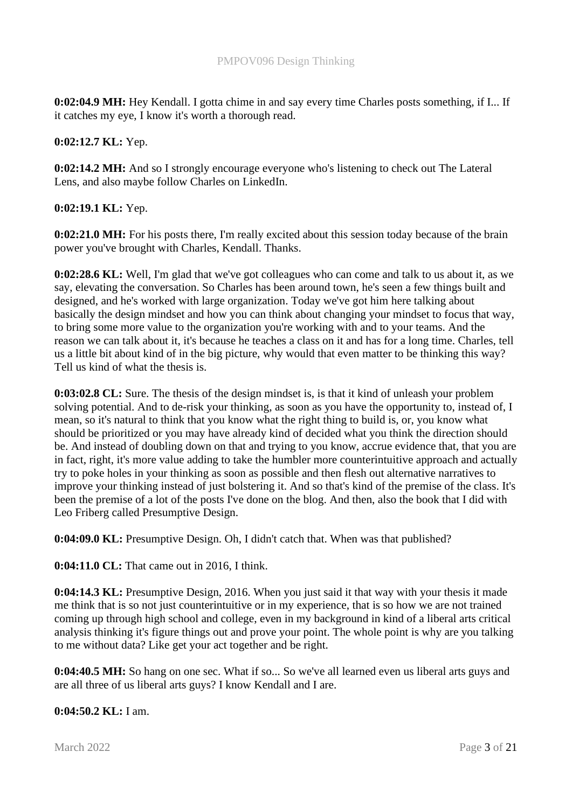**0:02:04.9 MH:** Hey Kendall. I gotta chime in and say every time Charles posts something, if I... If it catches my eye, I know it's worth a thorough read.

## **0:02:12.7 KL:** Yep.

**0:02:14.2 MH:** And so I strongly encourage everyone who's listening to check out The Lateral Lens, and also maybe follow Charles on LinkedIn.

## **0:02:19.1 KL:** Yep.

**0:02:21.0 MH:** For his posts there, I'm really excited about this session today because of the brain power you've brought with Charles, Kendall. Thanks.

**0:02:28.6 KL:** Well, I'm glad that we've got colleagues who can come and talk to us about it, as we say, elevating the conversation. So Charles has been around town, he's seen a few things built and designed, and he's worked with large organization. Today we've got him here talking about basically the design mindset and how you can think about changing your mindset to focus that way, to bring some more value to the organization you're working with and to your teams. And the reason we can talk about it, it's because he teaches a class on it and has for a long time. Charles, tell us a little bit about kind of in the big picture, why would that even matter to be thinking this way? Tell us kind of what the thesis is.

**0:03:02.8 CL:** Sure. The thesis of the design mindset is, is that it kind of unleash your problem solving potential. And to de-risk your thinking, as soon as you have the opportunity to, instead of, I mean, so it's natural to think that you know what the right thing to build is, or, you know what should be prioritized or you may have already kind of decided what you think the direction should be. And instead of doubling down on that and trying to you know, accrue evidence that, that you are in fact, right, it's more value adding to take the humbler more counterintuitive approach and actually try to poke holes in your thinking as soon as possible and then flesh out alternative narratives to improve your thinking instead of just bolstering it. And so that's kind of the premise of the class. It's been the premise of a lot of the posts I've done on the blog. And then, also the book that I did with Leo Friberg called Presumptive Design.

**0:04:09.0 KL:** Presumptive Design. Oh, I didn't catch that. When was that published?

**0:04:11.0 CL:** That came out in 2016, I think.

**0:04:14.3 KL:** Presumptive Design, 2016. When you just said it that way with your thesis it made me think that is so not just counterintuitive or in my experience, that is so how we are not trained coming up through high school and college, even in my background in kind of a liberal arts critical analysis thinking it's figure things out and prove your point. The whole point is why are you talking to me without data? Like get your act together and be right.

**0:04:40.5 MH:** So hang on one sec. What if so... So we've all learned even us liberal arts guys and are all three of us liberal arts guys? I know Kendall and I are.

**0:04:50.2 KL:** I am.

March 2022 Page 3 of 21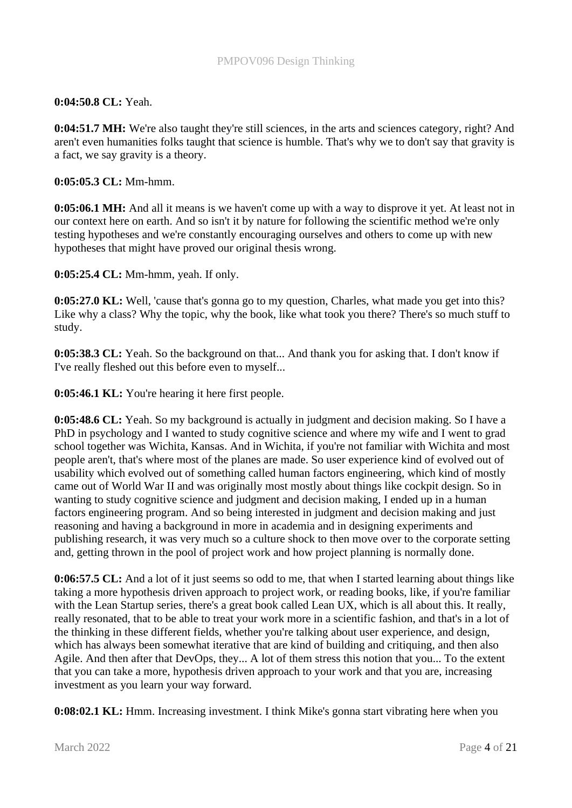# **0:04:50.8 CL:** Yeah.

**0:04:51.7 MH:** We're also taught they're still sciences, in the arts and sciences category, right? And aren't even humanities folks taught that science is humble. That's why we to don't say that gravity is a fact, we say gravity is a theory.

## **0:05:05.3 CL:** Mm-hmm.

**0:05:06.1 MH:** And all it means is we haven't come up with a way to disprove it yet. At least not in our context here on earth. And so isn't it by nature for following the scientific method we're only testing hypotheses and we're constantly encouraging ourselves and others to come up with new hypotheses that might have proved our original thesis wrong.

**0:05:25.4 CL:** Mm-hmm, yeah. If only.

**0:05:27.0 KL:** Well, 'cause that's gonna go to my question, Charles, what made you get into this? Like why a class? Why the topic, why the book, like what took you there? There's so much stuff to study.

**0:05:38.3 CL:** Yeah. So the background on that... And thank you for asking that. I don't know if I've really fleshed out this before even to myself...

**0:05:46.1 KL:** You're hearing it here first people.

**0:05:48.6 CL:** Yeah. So my background is actually in judgment and decision making. So I have a PhD in psychology and I wanted to study cognitive science and where my wife and I went to grad school together was Wichita, Kansas. And in Wichita, if you're not familiar with Wichita and most people aren't, that's where most of the planes are made. So user experience kind of evolved out of usability which evolved out of something called human factors engineering, which kind of mostly came out of World War II and was originally most mostly about things like cockpit design. So in wanting to study cognitive science and judgment and decision making, I ended up in a human factors engineering program. And so being interested in judgment and decision making and just reasoning and having a background in more in academia and in designing experiments and publishing research, it was very much so a culture shock to then move over to the corporate setting and, getting thrown in the pool of project work and how project planning is normally done.

**0:06:57.5 CL:** And a lot of it just seems so odd to me, that when I started learning about things like taking a more hypothesis driven approach to project work, or reading books, like, if you're familiar with the Lean Startup series, there's a great book called Lean UX, which is all about this. It really, really resonated, that to be able to treat your work more in a scientific fashion, and that's in a lot of the thinking in these different fields, whether you're talking about user experience, and design, which has always been somewhat iterative that are kind of building and critiquing, and then also Agile. And then after that DevOps, they... A lot of them stress this notion that you... To the extent that you can take a more, hypothesis driven approach to your work and that you are, increasing investment as you learn your way forward.

**0:08:02.1 KL:** Hmm. Increasing investment. I think Mike's gonna start vibrating here when you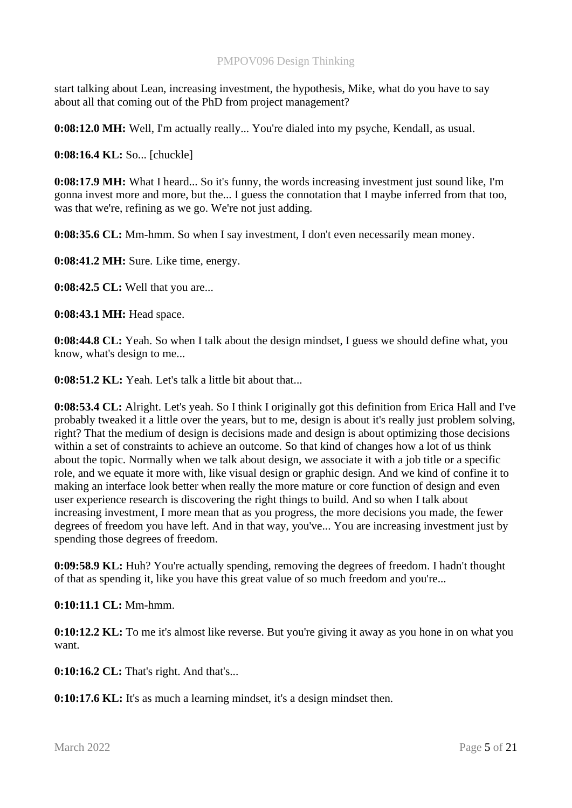start talking about Lean, increasing investment, the hypothesis, Mike, what do you have to say about all that coming out of the PhD from project management?

**0:08:12.0 MH:** Well, I'm actually really... You're dialed into my psyche, Kendall, as usual.

**0:08:16.4 KL:** So... [chuckle]

**0:08:17.9 MH:** What I heard... So it's funny, the words increasing investment just sound like, I'm gonna invest more and more, but the... I guess the connotation that I maybe inferred from that too, was that we're, refining as we go. We're not just adding.

**0:08:35.6 CL:** Mm-hmm. So when I say investment, I don't even necessarily mean money.

**0:08:41.2 MH:** Sure. Like time, energy.

**0:08:42.5 CL:** Well that you are...

**0:08:43.1 MH:** Head space.

**0:08:44.8 CL:** Yeah. So when I talk about the design mindset, I guess we should define what, you know, what's design to me...

**0:08:51.2 KL:** Yeah. Let's talk a little bit about that...

**0:08:53.4 CL:** Alright. Let's yeah. So I think I originally got this definition from Erica Hall and I've probably tweaked it a little over the years, but to me, design is about it's really just problem solving, right? That the medium of design is decisions made and design is about optimizing those decisions within a set of constraints to achieve an outcome. So that kind of changes how a lot of us think about the topic. Normally when we talk about design, we associate it with a job title or a specific role, and we equate it more with, like visual design or graphic design. And we kind of confine it to making an interface look better when really the more mature or core function of design and even user experience research is discovering the right things to build. And so when I talk about increasing investment, I more mean that as you progress, the more decisions you made, the fewer degrees of freedom you have left. And in that way, you've... You are increasing investment just by spending those degrees of freedom.

**0:09:58.9 KL:** Huh? You're actually spending, removing the degrees of freedom. I hadn't thought of that as spending it, like you have this great value of so much freedom and you're...

**0:10:11.1 CL:** Mm-hmm.

**0:10:12.2 KL:** To me it's almost like reverse. But you're giving it away as you hone in on what you want.

**0:10:16.2 CL:** That's right. And that's...

**0:10:17.6 KL:** It's as much a learning mindset, it's a design mindset then.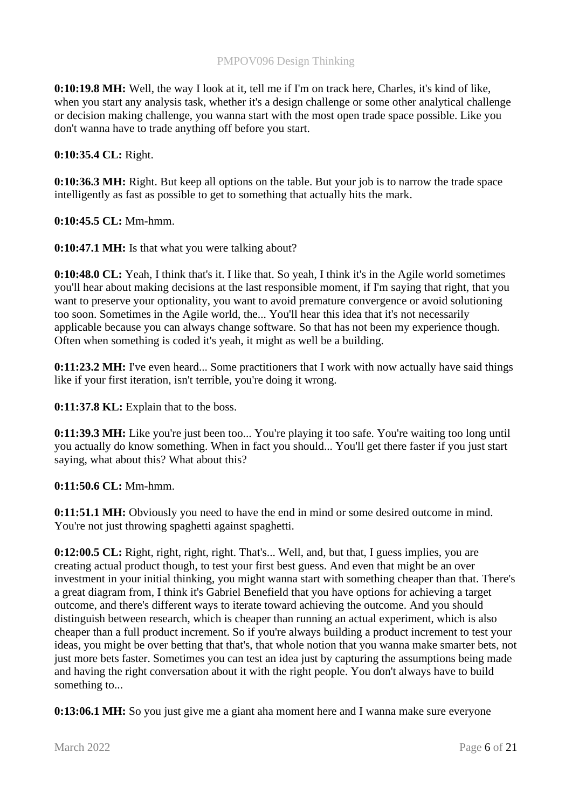**0:10:19.8 MH:** Well, the way I look at it, tell me if I'm on track here, Charles, it's kind of like, when you start any analysis task, whether it's a design challenge or some other analytical challenge or decision making challenge, you wanna start with the most open trade space possible. Like you don't wanna have to trade anything off before you start.

**0:10:35.4 CL:** Right.

**0:10:36.3 MH:** Right. But keep all options on the table. But your job is to narrow the trade space intelligently as fast as possible to get to something that actually hits the mark.

**0:10:45.5 CL:** Mm-hmm.

**0:10:47.1 MH:** Is that what you were talking about?

**0:10:48.0 CL:** Yeah, I think that's it. I like that. So yeah, I think it's in the Agile world sometimes you'll hear about making decisions at the last responsible moment, if I'm saying that right, that you want to preserve your optionality, you want to avoid premature convergence or avoid solutioning too soon. Sometimes in the Agile world, the... You'll hear this idea that it's not necessarily applicable because you can always change software. So that has not been my experience though. Often when something is coded it's yeah, it might as well be a building.

**0:11:23.2 MH:** I've even heard... Some practitioners that I work with now actually have said things like if your first iteration, isn't terrible, you're doing it wrong.

**0:11:37.8 KL:** Explain that to the boss.

**0:11:39.3 MH:** Like you're just been too... You're playing it too safe. You're waiting too long until you actually do know something. When in fact you should... You'll get there faster if you just start saying, what about this? What about this?

**0:11:50.6 CL:** Mm-hmm.

**0:11:51.1 MH:** Obviously you need to have the end in mind or some desired outcome in mind. You're not just throwing spaghetti against spaghetti.

**0:12:00.5 CL:** Right, right, right, right. That's... Well, and, but that, I guess implies, you are creating actual product though, to test your first best guess. And even that might be an over investment in your initial thinking, you might wanna start with something cheaper than that. There's a great diagram from, I think it's Gabriel Benefield that you have options for achieving a target outcome, and there's different ways to iterate toward achieving the outcome. And you should distinguish between research, which is cheaper than running an actual experiment, which is also cheaper than a full product increment. So if you're always building a product increment to test your ideas, you might be over betting that that's, that whole notion that you wanna make smarter bets, not just more bets faster. Sometimes you can test an idea just by capturing the assumptions being made and having the right conversation about it with the right people. You don't always have to build something to...

**0:13:06.1 MH:** So you just give me a giant aha moment here and I wanna make sure everyone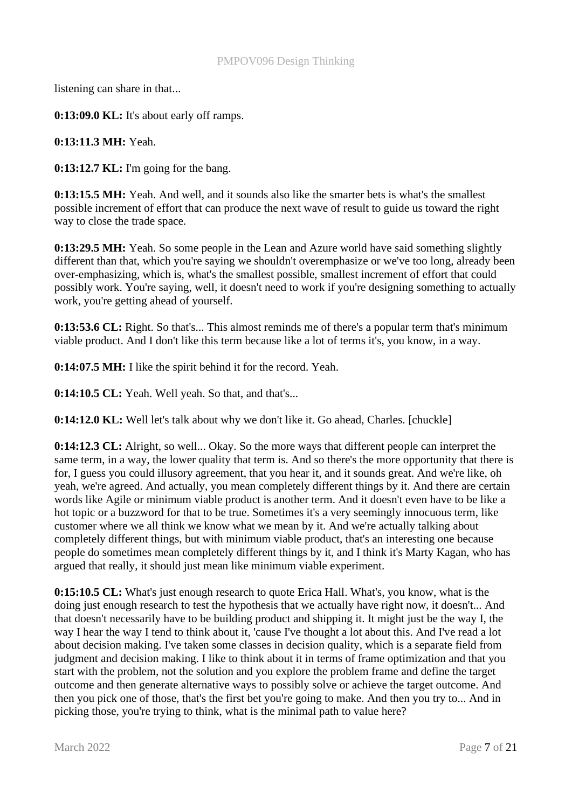listening can share in that...

**0:13:09.0 KL:** It's about early off ramps.

**0:13:11.3 MH:** Yeah.

**0:13:12.7 KL:** I'm going for the bang.

**0:13:15.5 MH:** Yeah. And well, and it sounds also like the smarter bets is what's the smallest possible increment of effort that can produce the next wave of result to guide us toward the right way to close the trade space.

**0:13:29.5 MH:** Yeah. So some people in the Lean and Azure world have said something slightly different than that, which you're saying we shouldn't overemphasize or we've too long, already been over-emphasizing, which is, what's the smallest possible, smallest increment of effort that could possibly work. You're saying, well, it doesn't need to work if you're designing something to actually work, you're getting ahead of yourself.

**0:13:53.6 CL:** Right. So that's... This almost reminds me of there's a popular term that's minimum viable product. And I don't like this term because like a lot of terms it's, you know, in a way.

**0:14:07.5 MH:** I like the spirit behind it for the record. Yeah.

**0:14:10.5 CL:** Yeah. Well yeah. So that, and that's...

**0:14:12.0 KL:** Well let's talk about why we don't like it. Go ahead, Charles. [chuckle]

**0:14:12.3 CL:** Alright, so well... Okay. So the more ways that different people can interpret the same term, in a way, the lower quality that term is. And so there's the more opportunity that there is for, I guess you could illusory agreement, that you hear it, and it sounds great. And we're like, oh yeah, we're agreed. And actually, you mean completely different things by it. And there are certain words like Agile or minimum viable product is another term. And it doesn't even have to be like a hot topic or a buzzword for that to be true. Sometimes it's a very seemingly innocuous term, like customer where we all think we know what we mean by it. And we're actually talking about completely different things, but with minimum viable product, that's an interesting one because people do sometimes mean completely different things by it, and I think it's Marty Kagan, who has argued that really, it should just mean like minimum viable experiment.

**0:15:10.5 CL:** What's just enough research to quote Erica Hall. What's, you know, what is the doing just enough research to test the hypothesis that we actually have right now, it doesn't... And that doesn't necessarily have to be building product and shipping it. It might just be the way I, the way I hear the way I tend to think about it, 'cause I've thought a lot about this. And I've read a lot about decision making. I've taken some classes in decision quality, which is a separate field from judgment and decision making. I like to think about it in terms of frame optimization and that you start with the problem, not the solution and you explore the problem frame and define the target outcome and then generate alternative ways to possibly solve or achieve the target outcome. And then you pick one of those, that's the first bet you're going to make. And then you try to... And in picking those, you're trying to think, what is the minimal path to value here?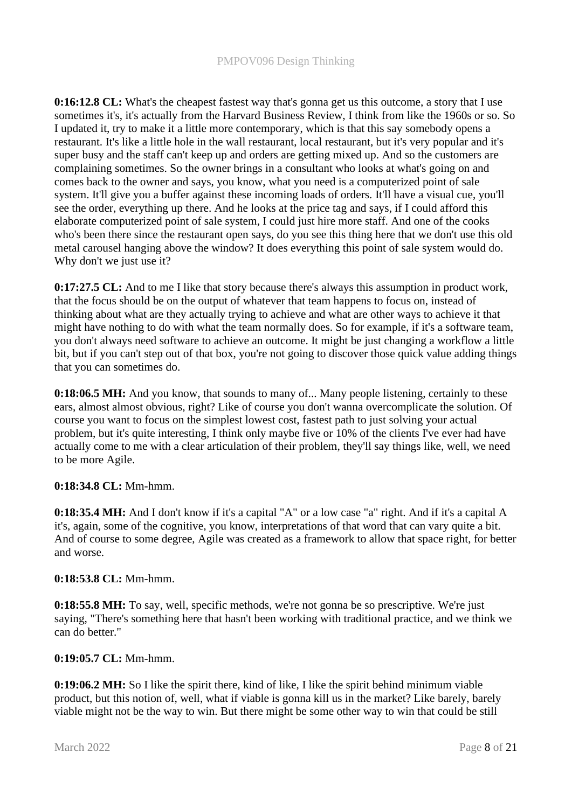**0:16:12.8 CL:** What's the cheapest fastest way that's gonna get us this outcome, a story that I use sometimes it's, it's actually from the Harvard Business Review, I think from like the 1960s or so. So I updated it, try to make it a little more contemporary, which is that this say somebody opens a restaurant. It's like a little hole in the wall restaurant, local restaurant, but it's very popular and it's super busy and the staff can't keep up and orders are getting mixed up. And so the customers are complaining sometimes. So the owner brings in a consultant who looks at what's going on and comes back to the owner and says, you know, what you need is a computerized point of sale system. It'll give you a buffer against these incoming loads of orders. It'll have a visual cue, you'll see the order, everything up there. And he looks at the price tag and says, if I could afford this elaborate computerized point of sale system, I could just hire more staff. And one of the cooks who's been there since the restaurant open says, do you see this thing here that we don't use this old metal carousel hanging above the window? It does everything this point of sale system would do. Why don't we just use it?

**0:17:27.5 CL:** And to me I like that story because there's always this assumption in product work, that the focus should be on the output of whatever that team happens to focus on, instead of thinking about what are they actually trying to achieve and what are other ways to achieve it that might have nothing to do with what the team normally does. So for example, if it's a software team, you don't always need software to achieve an outcome. It might be just changing a workflow a little bit, but if you can't step out of that box, you're not going to discover those quick value adding things that you can sometimes do.

**0:18:06.5 MH:** And you know, that sounds to many of... Many people listening, certainly to these ears, almost almost obvious, right? Like of course you don't wanna overcomplicate the solution. Of course you want to focus on the simplest lowest cost, fastest path to just solving your actual problem, but it's quite interesting, I think only maybe five or 10% of the clients I've ever had have actually come to me with a clear articulation of their problem, they'll say things like, well, we need to be more Agile.

# **0:18:34.8 CL:** Mm-hmm.

**0:18:35.4 MH:** And I don't know if it's a capital "A" or a low case "a" right. And if it's a capital A it's, again, some of the cognitive, you know, interpretations of that word that can vary quite a bit. And of course to some degree, Agile was created as a framework to allow that space right, for better and worse.

#### **0:18:53.8 CL:** Mm-hmm.

**0:18:55.8 MH:** To say, well, specific methods, we're not gonna be so prescriptive. We're just saying, "There's something here that hasn't been working with traditional practice, and we think we can do better."

#### **0:19:05.7 CL:** Mm-hmm.

**0:19:06.2 MH:** So I like the spirit there, kind of like, I like the spirit behind minimum viable product, but this notion of, well, what if viable is gonna kill us in the market? Like barely, barely viable might not be the way to win. But there might be some other way to win that could be still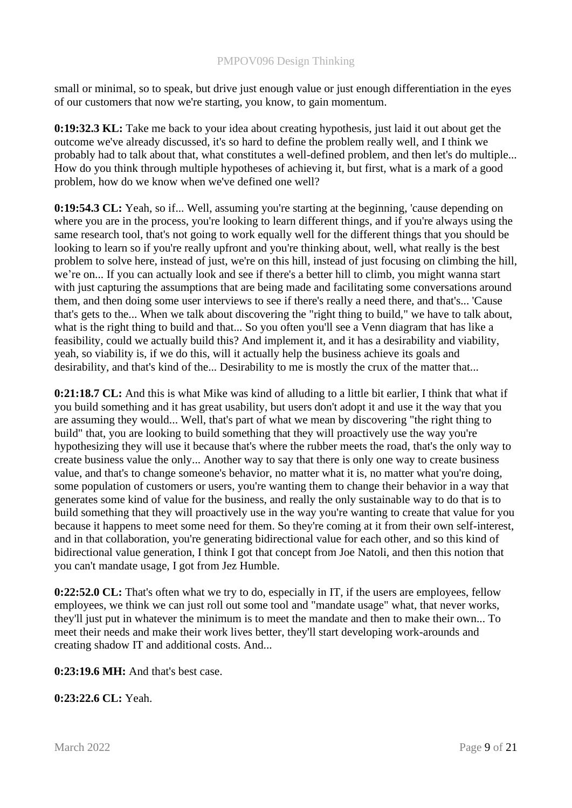small or minimal, so to speak, but drive just enough value or just enough differentiation in the eyes of our customers that now we're starting, you know, to gain momentum.

**0:19:32.3 KL:** Take me back to your idea about creating hypothesis, just laid it out about get the outcome we've already discussed, it's so hard to define the problem really well, and I think we probably had to talk about that, what constitutes a well-defined problem, and then let's do multiple... How do you think through multiple hypotheses of achieving it, but first, what is a mark of a good problem, how do we know when we've defined one well?

**0:19:54.3 CL:** Yeah, so if... Well, assuming you're starting at the beginning, 'cause depending on where you are in the process, you're looking to learn different things, and if you're always using the same research tool, that's not going to work equally well for the different things that you should be looking to learn so if you're really upfront and you're thinking about, well, what really is the best problem to solve here, instead of just, we're on this hill, instead of just focusing on climbing the hill, we're on... If you can actually look and see if there's a better hill to climb, you might wanna start with just capturing the assumptions that are being made and facilitating some conversations around them, and then doing some user interviews to see if there's really a need there, and that's... 'Cause that's gets to the... When we talk about discovering the "right thing to build," we have to talk about, what is the right thing to build and that... So you often you'll see a Venn diagram that has like a feasibility, could we actually build this? And implement it, and it has a desirability and viability, yeah, so viability is, if we do this, will it actually help the business achieve its goals and desirability, and that's kind of the... Desirability to me is mostly the crux of the matter that...

**0:21:18.7 CL:** And this is what Mike was kind of alluding to a little bit earlier, I think that what if you build something and it has great usability, but users don't adopt it and use it the way that you are assuming they would... Well, that's part of what we mean by discovering "the right thing to build" that, you are looking to build something that they will proactively use the way you're hypothesizing they will use it because that's where the rubber meets the road, that's the only way to create business value the only... Another way to say that there is only one way to create business value, and that's to change someone's behavior, no matter what it is, no matter what you're doing, some population of customers or users, you're wanting them to change their behavior in a way that generates some kind of value for the business, and really the only sustainable way to do that is to build something that they will proactively use in the way you're wanting to create that value for you because it happens to meet some need for them. So they're coming at it from their own self-interest, and in that collaboration, you're generating bidirectional value for each other, and so this kind of bidirectional value generation, I think I got that concept from Joe Natoli, and then this notion that you can't mandate usage, I got from Jez Humble.

**0:22:52.0 CL:** That's often what we try to do, especially in IT, if the users are employees, fellow employees, we think we can just roll out some tool and "mandate usage" what, that never works, they'll just put in whatever the minimum is to meet the mandate and then to make their own... To meet their needs and make their work lives better, they'll start developing work-arounds and creating shadow IT and additional costs. And...

**0:23:19.6 MH:** And that's best case.

**0:23:22.6 CL:** Yeah.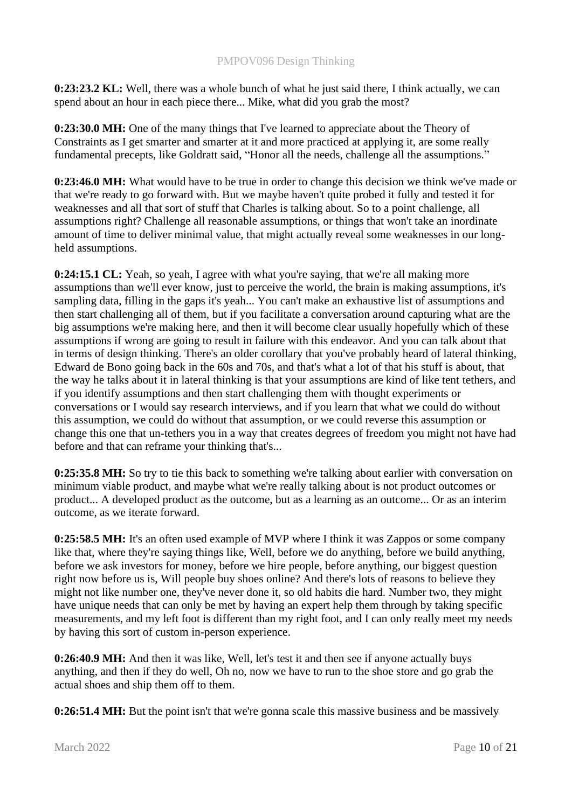**0:23:23.2 KL:** Well, there was a whole bunch of what he just said there, I think actually, we can spend about an hour in each piece there... Mike, what did you grab the most?

**0:23:30.0 MH:** One of the many things that I've learned to appreciate about the Theory of Constraints as I get smarter and smarter at it and more practiced at applying it, are some really fundamental precepts, like Goldratt said, "Honor all the needs, challenge all the assumptions."

**0:23:46.0 MH:** What would have to be true in order to change this decision we think we've made or that we're ready to go forward with. But we maybe haven't quite probed it fully and tested it for weaknesses and all that sort of stuff that Charles is talking about. So to a point challenge, all assumptions right? Challenge all reasonable assumptions, or things that won't take an inordinate amount of time to deliver minimal value, that might actually reveal some weaknesses in our longheld assumptions.

**0:24:15.1 CL:** Yeah, so yeah, I agree with what you're saying, that we're all making more assumptions than we'll ever know, just to perceive the world, the brain is making assumptions, it's sampling data, filling in the gaps it's yeah... You can't make an exhaustive list of assumptions and then start challenging all of them, but if you facilitate a conversation around capturing what are the big assumptions we're making here, and then it will become clear usually hopefully which of these assumptions if wrong are going to result in failure with this endeavor. And you can talk about that in terms of design thinking. There's an older corollary that you've probably heard of lateral thinking, Edward de Bono going back in the 60s and 70s, and that's what a lot of that his stuff is about, that the way he talks about it in lateral thinking is that your assumptions are kind of like tent tethers, and if you identify assumptions and then start challenging them with thought experiments or conversations or I would say research interviews, and if you learn that what we could do without this assumption, we could do without that assumption, or we could reverse this assumption or change this one that un-tethers you in a way that creates degrees of freedom you might not have had before and that can reframe your thinking that's...

**0:25:35.8 MH:** So try to tie this back to something we're talking about earlier with conversation on minimum viable product, and maybe what we're really talking about is not product outcomes or product... A developed product as the outcome, but as a learning as an outcome... Or as an interim outcome, as we iterate forward.

**0:25:58.5 MH:** It's an often used example of MVP where I think it was Zappos or some company like that, where they're saying things like, Well, before we do anything, before we build anything, before we ask investors for money, before we hire people, before anything, our biggest question right now before us is, Will people buy shoes online? And there's lots of reasons to believe they might not like number one, they've never done it, so old habits die hard. Number two, they might have unique needs that can only be met by having an expert help them through by taking specific measurements, and my left foot is different than my right foot, and I can only really meet my needs by having this sort of custom in-person experience.

**0:26:40.9 MH:** And then it was like, Well, let's test it and then see if anyone actually buys anything, and then if they do well, Oh no, now we have to run to the shoe store and go grab the actual shoes and ship them off to them.

**0:26:51.4 MH:** But the point isn't that we're gonna scale this massive business and be massively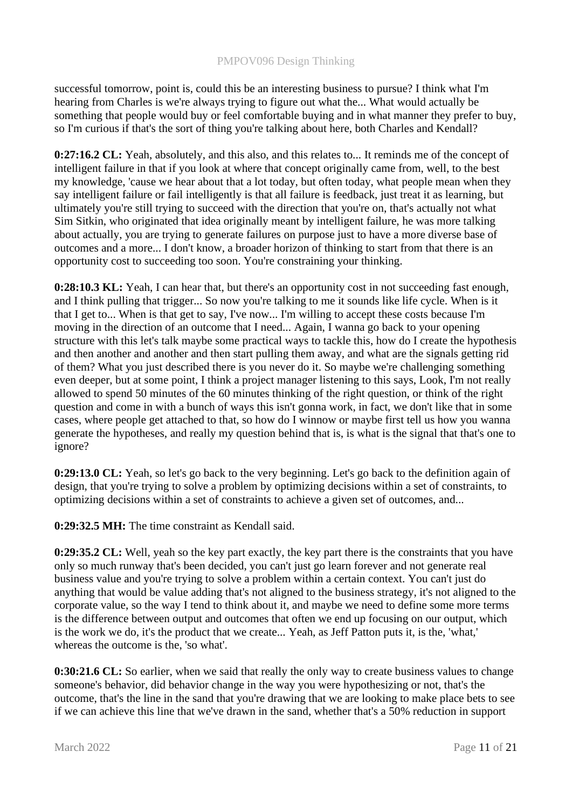successful tomorrow, point is, could this be an interesting business to pursue? I think what I'm hearing from Charles is we're always trying to figure out what the... What would actually be something that people would buy or feel comfortable buying and in what manner they prefer to buy, so I'm curious if that's the sort of thing you're talking about here, both Charles and Kendall?

**0:27:16.2 CL:** Yeah, absolutely, and this also, and this relates to... It reminds me of the concept of intelligent failure in that if you look at where that concept originally came from, well, to the best my knowledge, 'cause we hear about that a lot today, but often today, what people mean when they say intelligent failure or fail intelligently is that all failure is feedback, just treat it as learning, but ultimately you're still trying to succeed with the direction that you're on, that's actually not what Sim Sitkin, who originated that idea originally meant by intelligent failure, he was more talking about actually, you are trying to generate failures on purpose just to have a more diverse base of outcomes and a more... I don't know, a broader horizon of thinking to start from that there is an opportunity cost to succeeding too soon. You're constraining your thinking.

**0:28:10.3 KL:** Yeah, I can hear that, but there's an opportunity cost in not succeeding fast enough, and I think pulling that trigger... So now you're talking to me it sounds like life cycle. When is it that I get to... When is that get to say, I've now... I'm willing to accept these costs because I'm moving in the direction of an outcome that I need... Again, I wanna go back to your opening structure with this let's talk maybe some practical ways to tackle this, how do I create the hypothesis and then another and another and then start pulling them away, and what are the signals getting rid of them? What you just described there is you never do it. So maybe we're challenging something even deeper, but at some point, I think a project manager listening to this says, Look, I'm not really allowed to spend 50 minutes of the 60 minutes thinking of the right question, or think of the right question and come in with a bunch of ways this isn't gonna work, in fact, we don't like that in some cases, where people get attached to that, so how do I winnow or maybe first tell us how you wanna generate the hypotheses, and really my question behind that is, is what is the signal that that's one to ignore?

**0:29:13.0 CL:** Yeah, so let's go back to the very beginning. Let's go back to the definition again of design, that you're trying to solve a problem by optimizing decisions within a set of constraints, to optimizing decisions within a set of constraints to achieve a given set of outcomes, and...

**0:29:32.5 MH:** The time constraint as Kendall said.

**0:29:35.2 CL:** Well, yeah so the key part exactly, the key part there is the constraints that you have only so much runway that's been decided, you can't just go learn forever and not generate real business value and you're trying to solve a problem within a certain context. You can't just do anything that would be value adding that's not aligned to the business strategy, it's not aligned to the corporate value, so the way I tend to think about it, and maybe we need to define some more terms is the difference between output and outcomes that often we end up focusing on our output, which is the work we do, it's the product that we create... Yeah, as Jeff Patton puts it, is the, 'what,' whereas the outcome is the, 'so what'.

**0:30:21.6 CL:** So earlier, when we said that really the only way to create business values to change someone's behavior, did behavior change in the way you were hypothesizing or not, that's the outcome, that's the line in the sand that you're drawing that we are looking to make place bets to see if we can achieve this line that we've drawn in the sand, whether that's a 50% reduction in support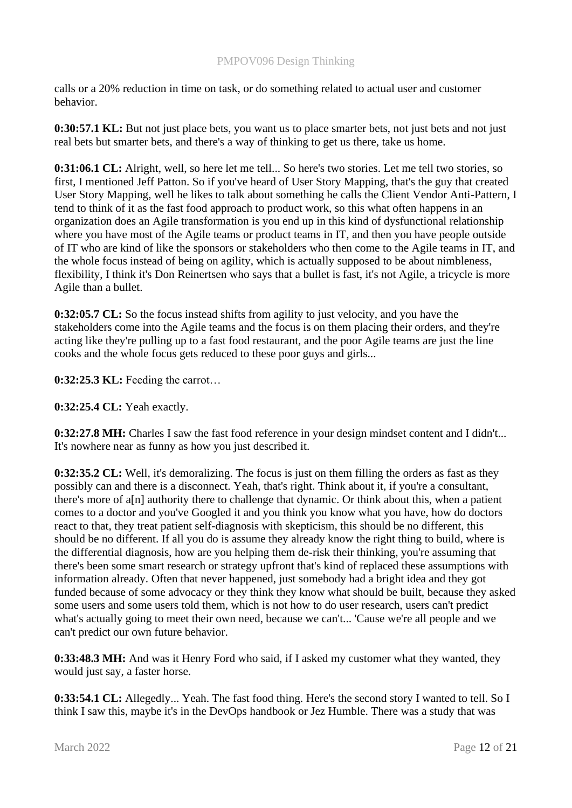calls or a 20% reduction in time on task, or do something related to actual user and customer behavior.

**0:30:57.1 KL:** But not just place bets, you want us to place smarter bets, not just bets and not just real bets but smarter bets, and there's a way of thinking to get us there, take us home.

**0:31:06.1 CL:** Alright, well, so here let me tell... So here's two stories. Let me tell two stories, so first, I mentioned Jeff Patton. So if you've heard of User Story Mapping, that's the guy that created User Story Mapping, well he likes to talk about something he calls the Client Vendor Anti-Pattern, I tend to think of it as the fast food approach to product work, so this what often happens in an organization does an Agile transformation is you end up in this kind of dysfunctional relationship where you have most of the Agile teams or product teams in IT, and then you have people outside of IT who are kind of like the sponsors or stakeholders who then come to the Agile teams in IT, and the whole focus instead of being on agility, which is actually supposed to be about nimbleness, flexibility, I think it's Don Reinertsen who says that a bullet is fast, it's not Agile, a tricycle is more Agile than a bullet.

**0:32:05.7 CL:** So the focus instead shifts from agility to just velocity, and you have the stakeholders come into the Agile teams and the focus is on them placing their orders, and they're acting like they're pulling up to a fast food restaurant, and the poor Agile teams are just the line cooks and the whole focus gets reduced to these poor guys and girls...

**0:32:25.3 KL:** Feeding the carrot…

**0:32:25.4 CL:** Yeah exactly.

**0:32:27.8 MH:** Charles I saw the fast food reference in your design mindset content and I didn't... It's nowhere near as funny as how you just described it.

**0:32:35.2 CL:** Well, it's demoralizing. The focus is just on them filling the orders as fast as they possibly can and there is a disconnect. Yeah, that's right. Think about it, if you're a consultant, there's more of a[n] authority there to challenge that dynamic. Or think about this, when a patient comes to a doctor and you've Googled it and you think you know what you have, how do doctors react to that, they treat patient self-diagnosis with skepticism, this should be no different, this should be no different. If all you do is assume they already know the right thing to build, where is the differential diagnosis, how are you helping them de-risk their thinking, you're assuming that there's been some smart research or strategy upfront that's kind of replaced these assumptions with information already. Often that never happened, just somebody had a bright idea and they got funded because of some advocacy or they think they know what should be built, because they asked some users and some users told them, which is not how to do user research, users can't predict what's actually going to meet their own need, because we can't... 'Cause we're all people and we can't predict our own future behavior.

**0:33:48.3 MH:** And was it Henry Ford who said, if I asked my customer what they wanted, they would just say, a faster horse.

**0:33:54.1 CL:** Allegedly... Yeah. The fast food thing. Here's the second story I wanted to tell. So I think I saw this, maybe it's in the DevOps handbook or Jez Humble. There was a study that was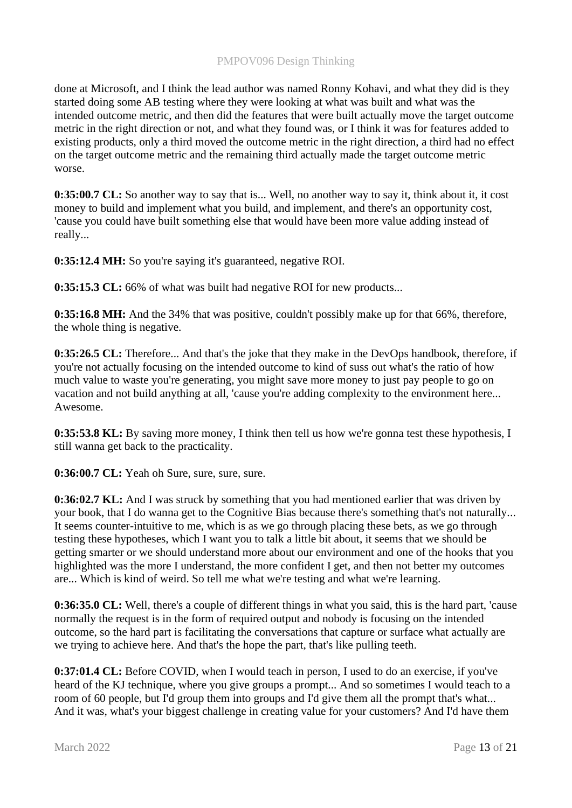done at Microsoft, and I think the lead author was named Ronny Kohavi, and what they did is they started doing some AB testing where they were looking at what was built and what was the intended outcome metric, and then did the features that were built actually move the target outcome metric in the right direction or not, and what they found was, or I think it was for features added to existing products, only a third moved the outcome metric in the right direction, a third had no effect on the target outcome metric and the remaining third actually made the target outcome metric worse.

**0:35:00.7 CL:** So another way to say that is... Well, no another way to say it, think about it, it cost money to build and implement what you build, and implement, and there's an opportunity cost, 'cause you could have built something else that would have been more value adding instead of really...

**0:35:12.4 MH:** So you're saying it's guaranteed, negative ROI.

**0:35:15.3 CL:** 66% of what was built had negative ROI for new products...

**0:35:16.8 MH:** And the 34% that was positive, couldn't possibly make up for that 66%, therefore, the whole thing is negative.

**0:35:26.5 CL:** Therefore... And that's the joke that they make in the DevOps handbook, therefore, if you're not actually focusing on the intended outcome to kind of suss out what's the ratio of how much value to waste you're generating, you might save more money to just pay people to go on vacation and not build anything at all, 'cause you're adding complexity to the environment here... Awesome.

**0:35:53.8 KL:** By saving more money, I think then tell us how we're gonna test these hypothesis, I still wanna get back to the practicality.

**0:36:00.7 CL:** Yeah oh Sure, sure, sure, sure.

**0:36:02.7 KL:** And I was struck by something that you had mentioned earlier that was driven by your book, that I do wanna get to the Cognitive Bias because there's something that's not naturally... It seems counter-intuitive to me, which is as we go through placing these bets, as we go through testing these hypotheses, which I want you to talk a little bit about, it seems that we should be getting smarter or we should understand more about our environment and one of the hooks that you highlighted was the more I understand, the more confident I get, and then not better my outcomes are... Which is kind of weird. So tell me what we're testing and what we're learning.

**0:36:35.0 CL:** Well, there's a couple of different things in what you said, this is the hard part, 'cause normally the request is in the form of required output and nobody is focusing on the intended outcome, so the hard part is facilitating the conversations that capture or surface what actually are we trying to achieve here. And that's the hope the part, that's like pulling teeth.

**0:37:01.4 CL:** Before COVID, when I would teach in person, I used to do an exercise, if you've heard of the KJ technique, where you give groups a prompt... And so sometimes I would teach to a room of 60 people, but I'd group them into groups and I'd give them all the prompt that's what... And it was, what's your biggest challenge in creating value for your customers? And I'd have them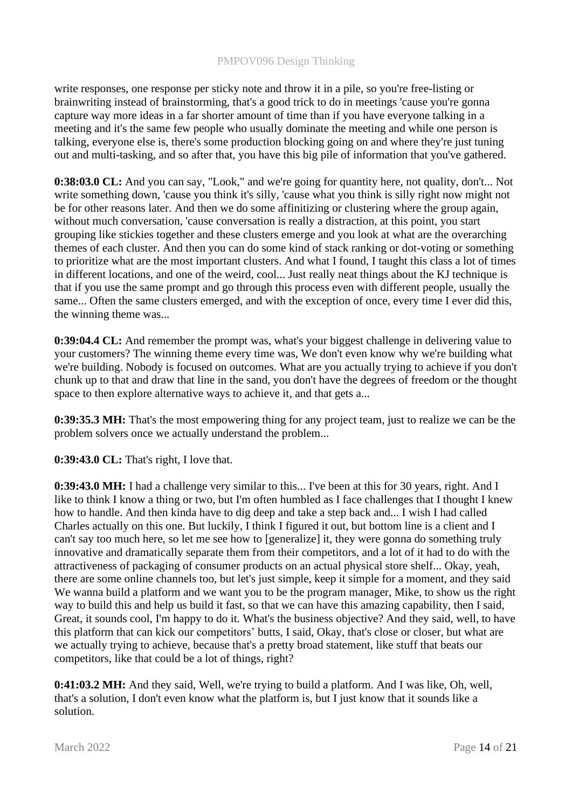write responses, one response per sticky note and throw it in a pile, so you're free-listing or brainwriting instead of brainstorming, that's a good trick to do in meetings 'cause you're gonna capture way more ideas in a far shorter amount of time than if you have everyone talking in a meeting and it's the same few people who usually dominate the meeting and while one person is talking, everyone else is, there's some production blocking going on and where they're just tuning out and multi-tasking, and so after that, you have this big pile of information that you've gathered.

**0:38:03.0 CL:** And you can say, "Look," and we're going for quantity here, not quality, don't... Not write something down, 'cause you think it's silly, 'cause what you think is silly right now might not be for other reasons later. And then we do some affinitizing or clustering where the group again, without much conversation, 'cause conversation is really a distraction, at this point, you start grouping like stickies together and these clusters emerge and you look at what are the overarching themes of each cluster. And then you can do some kind of stack ranking or dot-voting or something to prioritize what are the most important clusters. And what I found, I taught this class a lot of times in different locations, and one of the weird, cool... Just really neat things about the KJ technique is that if you use the same prompt and go through this process even with different people, usually the same... Often the same clusters emerged, and with the exception of once, every time I ever did this, the winning theme was...

**0:39:04.4 CL:** And remember the prompt was, what's your biggest challenge in delivering value to your customers? The winning theme every time was, We don't even know why we're building what we're building. Nobody is focused on outcomes. What are you actually trying to achieve if you don't chunk up to that and draw that line in the sand, you don't have the degrees of freedom or the thought space to then explore alternative ways to achieve it, and that gets a...

**0:39:35.3 MH:** That's the most empowering thing for any project team, just to realize we can be the problem solvers once we actually understand the problem...

**0:39:43.0 CL:** That's right, I love that.

**0:39:43.0 MH:** I had a challenge very similar to this... I've been at this for 30 years, right. And I like to think I know a thing or two, but I'm often humbled as I face challenges that I thought I knew how to handle. And then kinda have to dig deep and take a step back and... I wish I had called Charles actually on this one. But luckily, I think I figured it out, but bottom line is a client and I can't say too much here, so let me see how to [generalize] it, they were gonna do something truly innovative and dramatically separate them from their competitors, and a lot of it had to do with the attractiveness of packaging of consumer products on an actual physical store shelf... Okay, yeah, there are some online channels too, but let's just simple, keep it simple for a moment, and they said We wanna build a platform and we want you to be the program manager, Mike, to show us the right way to build this and help us build it fast, so that we can have this amazing capability, then I said, Great, it sounds cool, I'm happy to do it. What's the business objective? And they said, well, to have this platform that can kick our competitors' butts, I said, Okay, that's close or closer, but what are we actually trying to achieve, because that's a pretty broad statement, like stuff that beats our competitors, like that could be a lot of things, right?

**0:41:03.2 MH:** And they said, Well, we're trying to build a platform. And I was like, Oh, well, that's a solution, I don't even know what the platform is, but I just know that it sounds like a solution.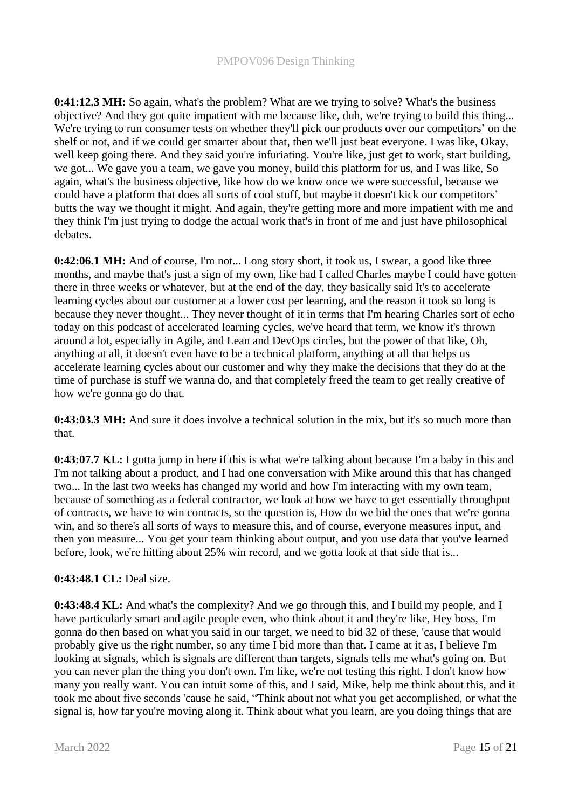**0:41:12.3 MH:** So again, what's the problem? What are we trying to solve? What's the business objective? And they got quite impatient with me because like, duh, we're trying to build this thing... We're trying to run consumer tests on whether they'll pick our products over our competitors' on the shelf or not, and if we could get smarter about that, then we'll just beat everyone. I was like, Okay, well keep going there. And they said you're infuriating. You're like, just get to work, start building, we got... We gave you a team, we gave you money, build this platform for us, and I was like, So again, what's the business objective, like how do we know once we were successful, because we could have a platform that does all sorts of cool stuff, but maybe it doesn't kick our competitors' butts the way we thought it might. And again, they're getting more and more impatient with me and they think I'm just trying to dodge the actual work that's in front of me and just have philosophical debates.

**0:42:06.1 MH:** And of course, I'm not... Long story short, it took us, I swear, a good like three months, and maybe that's just a sign of my own, like had I called Charles maybe I could have gotten there in three weeks or whatever, but at the end of the day, they basically said It's to accelerate learning cycles about our customer at a lower cost per learning, and the reason it took so long is because they never thought... They never thought of it in terms that I'm hearing Charles sort of echo today on this podcast of accelerated learning cycles, we've heard that term, we know it's thrown around a lot, especially in Agile, and Lean and DevOps circles, but the power of that like, Oh, anything at all, it doesn't even have to be a technical platform, anything at all that helps us accelerate learning cycles about our customer and why they make the decisions that they do at the time of purchase is stuff we wanna do, and that completely freed the team to get really creative of how we're gonna go do that.

**0:43:03.3 MH:** And sure it does involve a technical solution in the mix, but it's so much more than that.

**0:43:07.7 KL:** I gotta jump in here if this is what we're talking about because I'm a baby in this and I'm not talking about a product, and I had one conversation with Mike around this that has changed two... In the last two weeks has changed my world and how I'm interacting with my own team, because of something as a federal contractor, we look at how we have to get essentially throughput of contracts, we have to win contracts, so the question is, How do we bid the ones that we're gonna win, and so there's all sorts of ways to measure this, and of course, everyone measures input, and then you measure... You get your team thinking about output, and you use data that you've learned before, look, we're hitting about 25% win record, and we gotta look at that side that is...

# **0:43:48.1 CL:** Deal size.

**0:43:48.4 KL:** And what's the complexity? And we go through this, and I build my people, and I have particularly smart and agile people even, who think about it and they're like, Hey boss, I'm gonna do then based on what you said in our target, we need to bid 32 of these, 'cause that would probably give us the right number, so any time I bid more than that. I came at it as, I believe I'm looking at signals, which is signals are different than targets, signals tells me what's going on. But you can never plan the thing you don't own. I'm like, we're not testing this right. I don't know how many you really want. You can intuit some of this, and I said, Mike, help me think about this, and it took me about five seconds 'cause he said, "Think about not what you get accomplished, or what the signal is, how far you're moving along it. Think about what you learn, are you doing things that are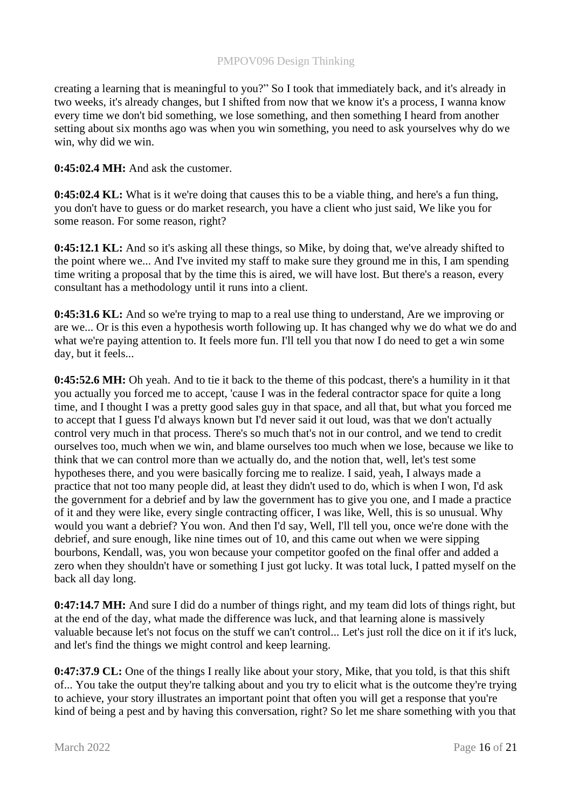creating a learning that is meaningful to you?" So I took that immediately back, and it's already in two weeks, it's already changes, but I shifted from now that we know it's a process, I wanna know every time we don't bid something, we lose something, and then something I heard from another setting about six months ago was when you win something, you need to ask yourselves why do we win, why did we win.

**0:45:02.4 MH:** And ask the customer.

**0:45:02.4 KL:** What is it we're doing that causes this to be a viable thing, and here's a fun thing, you don't have to guess or do market research, you have a client who just said, We like you for some reason. For some reason, right?

**0:45:12.1 KL:** And so it's asking all these things, so Mike, by doing that, we've already shifted to the point where we... And I've invited my staff to make sure they ground me in this, I am spending time writing a proposal that by the time this is aired, we will have lost. But there's a reason, every consultant has a methodology until it runs into a client.

**0:45:31.6 KL:** And so we're trying to map to a real use thing to understand, Are we improving or are we... Or is this even a hypothesis worth following up. It has changed why we do what we do and what we're paying attention to. It feels more fun. I'll tell you that now I do need to get a win some day, but it feels...

**0:45:52.6 MH:** Oh yeah. And to tie it back to the theme of this podcast, there's a humility in it that you actually you forced me to accept, 'cause I was in the federal contractor space for quite a long time, and I thought I was a pretty good sales guy in that space, and all that, but what you forced me to accept that I guess I'd always known but I'd never said it out loud, was that we don't actually control very much in that process. There's so much that's not in our control, and we tend to credit ourselves too, much when we win, and blame ourselves too much when we lose, because we like to think that we can control more than we actually do, and the notion that, well, let's test some hypotheses there, and you were basically forcing me to realize. I said, yeah, I always made a practice that not too many people did, at least they didn't used to do, which is when I won, I'd ask the government for a debrief and by law the government has to give you one, and I made a practice of it and they were like, every single contracting officer, I was like, Well, this is so unusual. Why would you want a debrief? You won. And then I'd say, Well, I'll tell you, once we're done with the debrief, and sure enough, like nine times out of 10, and this came out when we were sipping bourbons, Kendall, was, you won because your competitor goofed on the final offer and added a zero when they shouldn't have or something I just got lucky. It was total luck, I patted myself on the back all day long.

**0:47:14.7 MH:** And sure I did do a number of things right, and my team did lots of things right, but at the end of the day, what made the difference was luck, and that learning alone is massively valuable because let's not focus on the stuff we can't control... Let's just roll the dice on it if it's luck, and let's find the things we might control and keep learning.

**0:47:37.9 CL:** One of the things I really like about your story, Mike, that you told, is that this shift of... You take the output they're talking about and you try to elicit what is the outcome they're trying to achieve, your story illustrates an important point that often you will get a response that you're kind of being a pest and by having this conversation, right? So let me share something with you that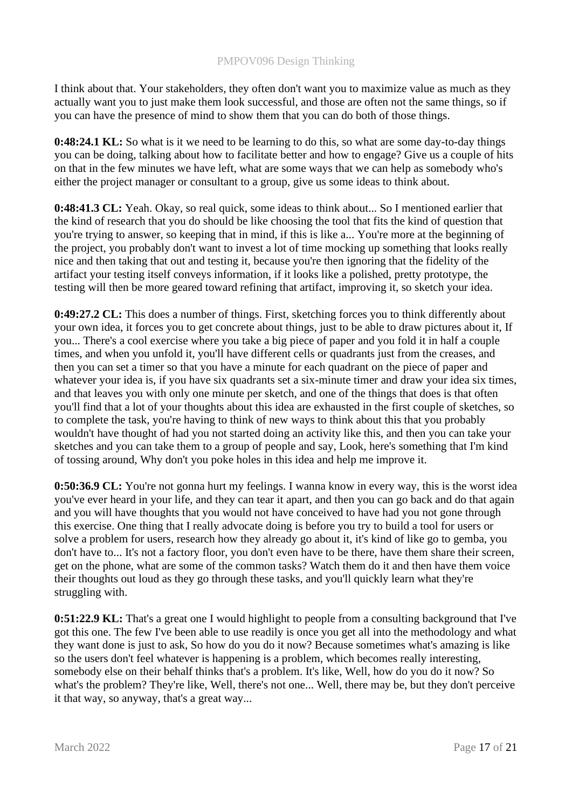I think about that. Your stakeholders, they often don't want you to maximize value as much as they actually want you to just make them look successful, and those are often not the same things, so if you can have the presence of mind to show them that you can do both of those things.

**0:48:24.1 KL:** So what is it we need to be learning to do this, so what are some day-to-day things you can be doing, talking about how to facilitate better and how to engage? Give us a couple of hits on that in the few minutes we have left, what are some ways that we can help as somebody who's either the project manager or consultant to a group, give us some ideas to think about.

**0:48:41.3 CL:** Yeah. Okay, so real quick, some ideas to think about... So I mentioned earlier that the kind of research that you do should be like choosing the tool that fits the kind of question that you're trying to answer, so keeping that in mind, if this is like a... You're more at the beginning of the project, you probably don't want to invest a lot of time mocking up something that looks really nice and then taking that out and testing it, because you're then ignoring that the fidelity of the artifact your testing itself conveys information, if it looks like a polished, pretty prototype, the testing will then be more geared toward refining that artifact, improving it, so sketch your idea.

**0:49:27.2 CL:** This does a number of things. First, sketching forces you to think differently about your own idea, it forces you to get concrete about things, just to be able to draw pictures about it, If you... There's a cool exercise where you take a big piece of paper and you fold it in half a couple times, and when you unfold it, you'll have different cells or quadrants just from the creases, and then you can set a timer so that you have a minute for each quadrant on the piece of paper and whatever your idea is, if you have six quadrants set a six-minute timer and draw your idea six times, and that leaves you with only one minute per sketch, and one of the things that does is that often you'll find that a lot of your thoughts about this idea are exhausted in the first couple of sketches, so to complete the task, you're having to think of new ways to think about this that you probably wouldn't have thought of had you not started doing an activity like this, and then you can take your sketches and you can take them to a group of people and say, Look, here's something that I'm kind of tossing around, Why don't you poke holes in this idea and help me improve it.

**0:50:36.9 CL:** You're not gonna hurt my feelings. I wanna know in every way, this is the worst idea you've ever heard in your life, and they can tear it apart, and then you can go back and do that again and you will have thoughts that you would not have conceived to have had you not gone through this exercise. One thing that I really advocate doing is before you try to build a tool for users or solve a problem for users, research how they already go about it, it's kind of like go to gemba, you don't have to... It's not a factory floor, you don't even have to be there, have them share their screen, get on the phone, what are some of the common tasks? Watch them do it and then have them voice their thoughts out loud as they go through these tasks, and you'll quickly learn what they're struggling with.

**0:51:22.9 KL:** That's a great one I would highlight to people from a consulting background that I've got this one. The few I've been able to use readily is once you get all into the methodology and what they want done is just to ask, So how do you do it now? Because sometimes what's amazing is like so the users don't feel whatever is happening is a problem, which becomes really interesting, somebody else on their behalf thinks that's a problem. It's like, Well, how do you do it now? So what's the problem? They're like, Well, there's not one... Well, there may be, but they don't perceive it that way, so anyway, that's a great way...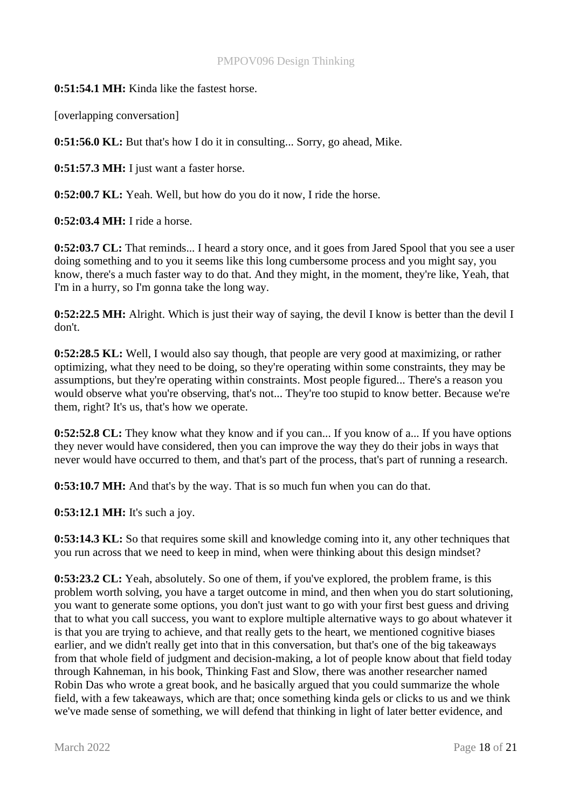**0:51:54.1 MH:** Kinda like the fastest horse.

[overlapping conversation]

**0:51:56.0 KL:** But that's how I do it in consulting... Sorry, go ahead, Mike.

**0:51:57.3 MH:** I just want a faster horse.

**0:52:00.7 KL:** Yeah. Well, but how do you do it now, I ride the horse.

**0:52:03.4 MH:** I ride a horse.

**0:52:03.7 CL:** That reminds... I heard a story once, and it goes from Jared Spool that you see a user doing something and to you it seems like this long cumbersome process and you might say, you know, there's a much faster way to do that. And they might, in the moment, they're like, Yeah, that I'm in a hurry, so I'm gonna take the long way.

**0:52:22.5 MH:** Alright. Which is just their way of saying, the devil I know is better than the devil I don't.

**0:52:28.5 KL:** Well, I would also say though, that people are very good at maximizing, or rather optimizing, what they need to be doing, so they're operating within some constraints, they may be assumptions, but they're operating within constraints. Most people figured... There's a reason you would observe what you're observing, that's not... They're too stupid to know better. Because we're them, right? It's us, that's how we operate.

**0:52:52.8 CL:** They know what they know and if you can... If you know of a... If you have options they never would have considered, then you can improve the way they do their jobs in ways that never would have occurred to them, and that's part of the process, that's part of running a research.

**0:53:10.7 MH:** And that's by the way. That is so much fun when you can do that.

**0:53:12.1 MH:** It's such a joy.

**0:53:14.3 KL:** So that requires some skill and knowledge coming into it, any other techniques that you run across that we need to keep in mind, when were thinking about this design mindset?

**0:53:23.2 CL:** Yeah, absolutely. So one of them, if you've explored, the problem frame, is this problem worth solving, you have a target outcome in mind, and then when you do start solutioning, you want to generate some options, you don't just want to go with your first best guess and driving that to what you call success, you want to explore multiple alternative ways to go about whatever it is that you are trying to achieve, and that really gets to the heart, we mentioned cognitive biases earlier, and we didn't really get into that in this conversation, but that's one of the big takeaways from that whole field of judgment and decision-making, a lot of people know about that field today through Kahneman, in his book, Thinking Fast and Slow, there was another researcher named Robin Das who wrote a great book, and he basically argued that you could summarize the whole field, with a few takeaways, which are that; once something kinda gels or clicks to us and we think we've made sense of something, we will defend that thinking in light of later better evidence, and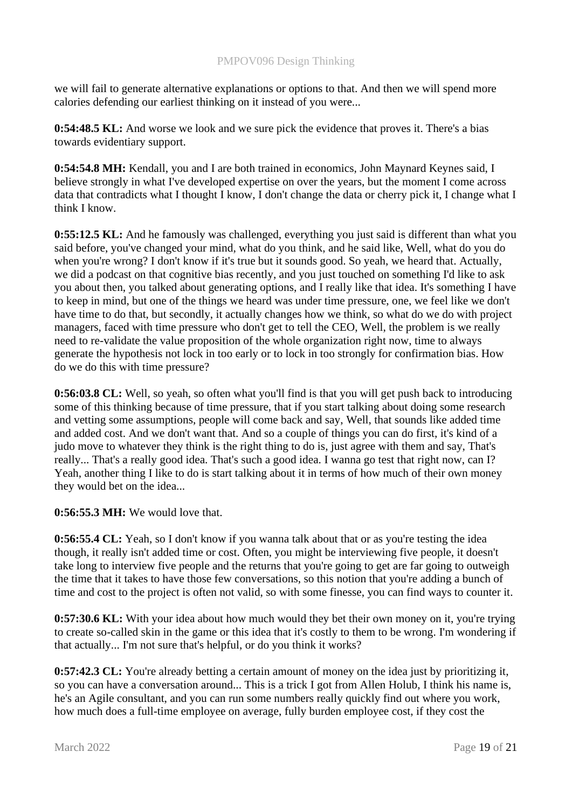we will fail to generate alternative explanations or options to that. And then we will spend more calories defending our earliest thinking on it instead of you were...

**0:54:48.5 KL:** And worse we look and we sure pick the evidence that proves it. There's a bias towards evidentiary support.

**0:54:54.8 MH:** Kendall, you and I are both trained in economics, John Maynard Keynes said, I believe strongly in what I've developed expertise on over the years, but the moment I come across data that contradicts what I thought I know, I don't change the data or cherry pick it, I change what I think I know.

**0:55:12.5 KL:** And he famously was challenged, everything you just said is different than what you said before, you've changed your mind, what do you think, and he said like, Well, what do you do when you're wrong? I don't know if it's true but it sounds good. So yeah, we heard that. Actually, we did a podcast on that cognitive bias recently, and you just touched on something I'd like to ask you about then, you talked about generating options, and I really like that idea. It's something I have to keep in mind, but one of the things we heard was under time pressure, one, we feel like we don't have time to do that, but secondly, it actually changes how we think, so what do we do with project managers, faced with time pressure who don't get to tell the CEO, Well, the problem is we really need to re-validate the value proposition of the whole organization right now, time to always generate the hypothesis not lock in too early or to lock in too strongly for confirmation bias. How do we do this with time pressure?

**0:56:03.8 CL:** Well, so yeah, so often what you'll find is that you will get push back to introducing some of this thinking because of time pressure, that if you start talking about doing some research and vetting some assumptions, people will come back and say, Well, that sounds like added time and added cost. And we don't want that. And so a couple of things you can do first, it's kind of a judo move to whatever they think is the right thing to do is, just agree with them and say, That's really... That's a really good idea. That's such a good idea. I wanna go test that right now, can I? Yeah, another thing I like to do is start talking about it in terms of how much of their own money they would bet on the idea...

**0:56:55.3 MH:** We would love that.

**0:56:55.4 CL:** Yeah, so I don't know if you wanna talk about that or as you're testing the idea though, it really isn't added time or cost. Often, you might be interviewing five people, it doesn't take long to interview five people and the returns that you're going to get are far going to outweigh the time that it takes to have those few conversations, so this notion that you're adding a bunch of time and cost to the project is often not valid, so with some finesse, you can find ways to counter it.

**0:57:30.6 KL:** With your idea about how much would they bet their own money on it, you're trying to create so-called skin in the game or this idea that it's costly to them to be wrong. I'm wondering if that actually... I'm not sure that's helpful, or do you think it works?

**0:57:42.3 CL:** You're already betting a certain amount of money on the idea just by prioritizing it, so you can have a conversation around... This is a trick I got from Allen Holub, I think his name is, he's an Agile consultant, and you can run some numbers really quickly find out where you work, how much does a full-time employee on average, fully burden employee cost, if they cost the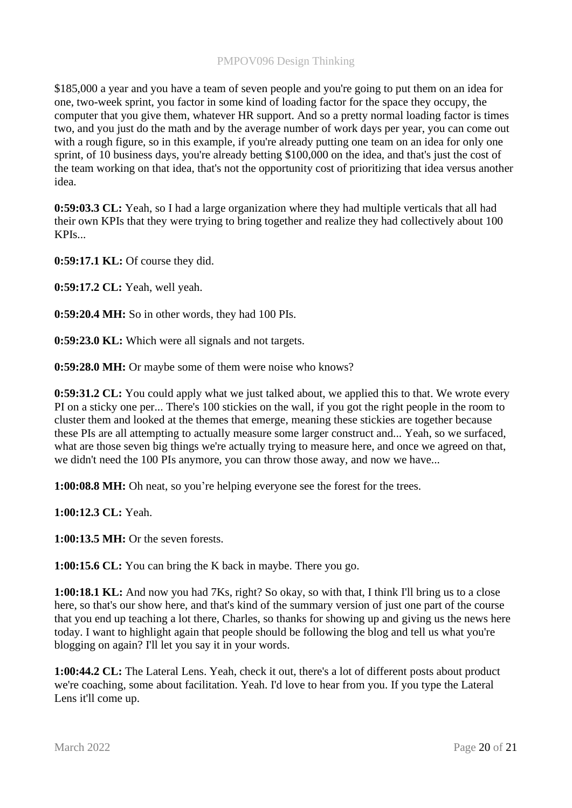\$185,000 a year and you have a team of seven people and you're going to put them on an idea for one, two-week sprint, you factor in some kind of loading factor for the space they occupy, the computer that you give them, whatever HR support. And so a pretty normal loading factor is times two, and you just do the math and by the average number of work days per year, you can come out with a rough figure, so in this example, if you're already putting one team on an idea for only one sprint, of 10 business days, you're already betting \$100,000 on the idea, and that's just the cost of the team working on that idea, that's not the opportunity cost of prioritizing that idea versus another idea.

**0:59:03.3 CL:** Yeah, so I had a large organization where they had multiple verticals that all had their own KPIs that they were trying to bring together and realize they had collectively about 100 KPIs...

**0:59:17.1 KL:** Of course they did.

**0:59:17.2 CL:** Yeah, well yeah.

**0:59:20.4 MH:** So in other words, they had 100 PIs.

**0:59:23.0 KL:** Which were all signals and not targets.

**0:59:28.0 MH:** Or maybe some of them were noise who knows?

**0:59:31.2 CL:** You could apply what we just talked about, we applied this to that. We wrote every PI on a sticky one per... There's 100 stickies on the wall, if you got the right people in the room to cluster them and looked at the themes that emerge, meaning these stickies are together because these PIs are all attempting to actually measure some larger construct and... Yeah, so we surfaced, what are those seven big things we're actually trying to measure here, and once we agreed on that, we didn't need the 100 PIs anymore, you can throw those away, and now we have...

**1:00:08.8 MH:** Oh neat, so you're helping everyone see the forest for the trees.

**1:00:12.3 CL:** Yeah.

**1:00:13.5 MH:** Or the seven forests.

**1:00:15.6 CL:** You can bring the K back in maybe. There you go.

**1:00:18.1 KL:** And now you had 7Ks, right? So okay, so with that, I think I'll bring us to a close here, so that's our show here, and that's kind of the summary version of just one part of the course that you end up teaching a lot there, Charles, so thanks for showing up and giving us the news here today. I want to highlight again that people should be following the blog and tell us what you're blogging on again? I'll let you say it in your words.

**1:00:44.2 CL:** The Lateral Lens. Yeah, check it out, there's a lot of different posts about product we're coaching, some about facilitation. Yeah. I'd love to hear from you. If you type the Lateral Lens it'll come up.